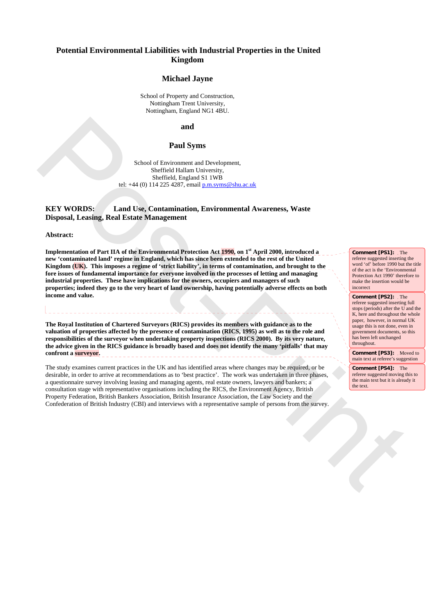# **Potential Environmental Liabilities with Industrial Properties in the United Kingdom**

## **Michael Jayne**

School of Property and Construction, Nottingham Trent University, Nottingham, England NG1 4BU.

#### **and**

## **Paul Syms**

School of Environment and Development, Sheffield Hallam University, Sheffield, England S1 1WB tel: +44 (0) 114 225 4287, email p.m.syms@shu.ac.uk

## **KEY WORDS: Land Use, Contamination, Environmental Awareness, Waste Disposal, Leasing, Real Estate Management**

**Abstract:** 

Implementation of Part IIA of the Environmental Protection Act **1990**, on 1<sup>st</sup> April 2000, introduced a **new 'contaminated land' regime in England, which has since been extended to the rest of the United Kingdom (UK). This imposes a regime of 'strict liability', in terms of contamination, and brought to the fore issues of fundamental importance for everyone involved in the processes of letting and managing industrial properties. These have implications for the owners, occupiers and managers of such properties; indeed they go to the very heart of land ownership, having potentially adverse effects on both income and value. Post School is a measurement and Development.**<br>
School if and Development and Development.<br>
School is a builded Hulstan Devertier,<br>
DEP and Leasing Real Extract Post-Principle and DVS (contamination, Environmental Awaren

**The Royal Institution of Chartered Surveyors (RICS) provides its members with guidance as to the valuation of properties affected by the presence of contamination (RICS, 1995) as well as to the role and responsibilities of the surveyor when undertaking property inspections (RICS 2000). By its very nature, the advice given in the RICS guidance is broadly based and does not identify the many 'pitfalls' that may confront a surveyor.** 

The study examines current practices in the UK and has identified areas where changes may be required, or be desirable, in order to arrive at recommendations as to 'best practice'. The work was undertaken in three phases, a questionnaire survey involving leasing and managing agents, real estate owners, lawyers and bankers; a consultation stage with representative organisations including the RICS, the Environment Agency, British Property Federation, British Bankers Association, British Insurance Association, the Law Society and the Confederation of British Industry (CBI) and interviews with a representative sample of persons from the survey. **Comment [PS1]:** The referee suggested inserting the word 'of' before 1990 but the title of the act is the 'Environmental Protection Act 1990' therefore to make the insertion would be incorrect

**Comment [PS2]:** The referee suggested inserting full stops (periods) after the U and the K, here and throughout the whole paper, however, in normal UK usage this is not done, even in government documents, so this has been left unchanged throughout.

**Comment [PS3]:** Moved to main text at referee's suggestion

**Comment [PS4]:** The referee suggested moving this to the main text but it is already it the text.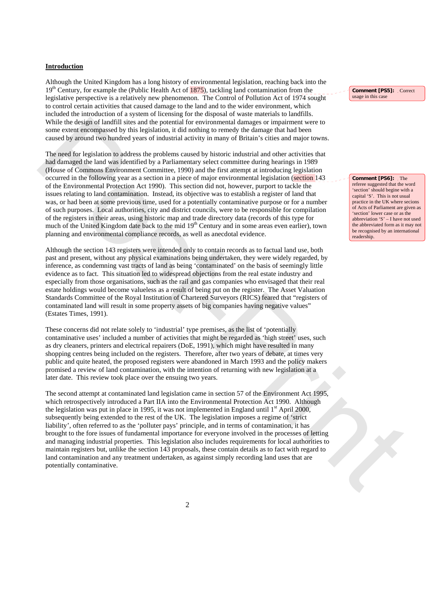### **Introduction**

Although the United Kingdom has a long history of environmental legislation, reaching back into the  $19<sup>th</sup>$  Century, for example the (Public Health Act of  $\frac{1875}{}$ ), tackling land contamination from the legislative perspective is a relatively new phenomenon. The Control of Pollution Act of 1974 sought to control certain activities that caused damage to the land and to the wider environment, which included the introduction of a system of licensing for the disposal of waste materials to landfills. While the design of landfill sites and the potential for environmental damages or impairment were to some extent encompassed by this legislation, it did nothing to remedy the damage that had been caused by around two hundred years of industrial activity in many of Britain's cities and major towns.

The need for legislation to address the problems caused by historic industrial and other activities that had damaged the land was identified by a Parliamentary select committee during hearings in 1989 (House of Commons Environment Committee, 1990) and the first attempt at introducing legislation occurred in the following year as a section in a piece of major environmental legislation (section 143 of the Environmental Protection Act 1990). This section did not, however, purport to tackle the issues relating to land contamination. Instead, its objective was to establish a register of land that was, or had been at some previous time, used for a potentially contaminative purpose or for a number of such purposes. Local authorities, city and district councils, were to be responsible for compilation of the registers in their areas, using historic map and trade directory data (records of this type for much of the United Kingdom date back to the mid  $19<sup>th</sup>$  Century and in some areas even earlier), town planning and environmental compliance records, as well as anecdotal evidence. While the design of Installation and the posterior for environmental dumages or important wave to the same extent in the post-<br>Friedrich state and the post-particle interview in the same extend with the same extend by pri

Although the section 143 registers were intended only to contain records as to factual land use, both past and present, without any physical examinations being undertaken, they were widely regarded, by inference, as condemning vast tracts of land as being 'contaminated' on the basis of seemingly little evidence as to fact. This situation led to widespread objections from the real estate industry and especially from those organisations, such as the rail and gas companies who envisaged that their real estate holdings would become valueless as a result of being put on the register. The Asset Valuation Standards Committee of the Royal Institution of Chartered Surveyors (RICS) feared that "registers of contaminated land will result in some property assets of big companies having negative values" (Estates Times, 1991).

These concerns did not relate solely to 'industrial' type premises, as the list of 'potentially contaminative uses' included a number of activities that might be regarded as 'high street' uses, such as dry cleaners, printers and electrical repairers (DoE, 1991), which might have resulted in many shopping centres being included on the registers. Therefore, after two years of debate, at times very public and quite heated, the proposed registers were abandoned in March 1993 and the policy makers promised a review of land contamination, with the intention of returning with new legislation at a later date. This review took place over the ensuing two years.

The second attempt at contaminated land legislation came in section 57 of the Environment Act 1995, which retrospectively introduced a Part IIA into the Environmental Protection Act 1990. Although the legislation was put in place in 1995, it was not implemented in England until  $1<sup>st</sup>$  April 2000, subsequently being extended to the rest of the UK. The legislation imposes a regime of 'strict liability', often referred to as the 'polluter pays' principle, and in terms of contamination, it has brought to the fore issues of fundamental importance for everyone involved in the processes of letting and managing industrial properties. This legislation also includes requirements for local authorities to maintain registers but, unlike the section 143 proposals, these contain details as to fact with regard to land contamination and any treatment undertaken, as against simply recording land uses that are potentially contaminative.

**Comment [PS5]:** Correct usage in this case

**Comment [PS6]:** The referee suggested that the word 'section' should begine with a capital 'S'. This is not usual practice in the UK where secions of Acts of Parliament are given as 'section' lower case or as the abbreviation  $S'$  – I have not used the abbreviated form as it may not be recognised by an international readership.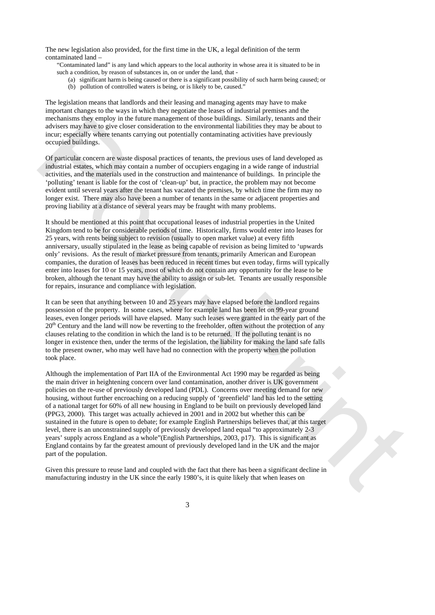The new legislation also provided, for the first time in the UK, a legal definition of the term contaminated land –

- "Contaminated land" is any land which appears to the local authority in whose area it is situated to be in such a condition, by reason of substances in, on or under the land, that -
	- (a) significant harm is being caused or there is a significant possibility of such harm being caused; or (b) pollution of controlled waters is being, or is likely to be, caused."

The legislation means that landlords and their leasing and managing agents may have to make important changes to the ways in which they negotiate the leases of industrial premises and the mechanisms they employ in the future management of those buildings. Similarly, tenants and their advisers may have to give closer consideration to the environmental liabilities they may be about to incur; especially where tenants carrying out potentially contaminating activities have previously occupied buildings.

Of particular concern are waste disposal practices of tenants, the previous uses of land developed as industrial estates, which may contain a number of occupiers engaging in a wide range of industrial activities, and the materials used in the construction and maintenance of buildings. In principle the 'polluting' tenant is liable for the cost of 'clean-up' but, in practice, the problem may not become evident until several years after the tenant has vacated the premises, by which time the firm may no longer exist. There may also have been a number of tenants in the same or adjacent properties and proving liability at a distance of several years may be fraught with many problems.

It should be mentioned at this point that occupational leases of industrial properties in the United Kingdom tend to be for considerable periods of time. Historically, firms would enter into leases for 25 years, with rents being subject to revision (usually to open market value) at every fifth anniversary, usually stipulated in the lease as being capable of revision as being limited to 'upwards only' revisions. As the result of market pressure from tenants, primarily American and European companies, the duration of leases has been reduced in recent times but even today, firms will typically enter into leases for 10 or 15 years, most of which do not contain any opportunity for the lease to be broken, although the tenant may have the ability to assign or sub-let. Tenants are usually responsible for repairs, insurance and compliance with legislation.

It can be seen that anything between 10 and 25 years may have elapsed before the landlord regains possession of the property. In some cases, where for example land has been let on 99-year ground leases, even longer periods will have elapsed. Many such leases were granted in the early part of the  $20<sup>th</sup>$  Century and the land will now be reverting to the freeholder, often without the protection of any clauses relating to the condition in which the land is to be returned. If the polluting tenant is no longer in existence then, under the terms of the legislation, the liability for making the land safe falls to the present owner, who may well have had no connection with the property when the pollution took place.

Although the implementation of Part IIA of the Environmental Act 1990 may be regarded as being the main driver in heightening concern over land contamination, another driver is UK government policies on the re-use of previously developed land (PDL). Concerns over meeting demand for new housing, without further encroaching on a reducing supply of 'greenfield' land has led to the setting of a national target for 60% of all new housing in England to be built on previously developed land (PPG3, 2000). This target was actually achieved in 2001 and in 2002 but whether this can be sustained in the future is open to debate; for example English Partnerships believes that, at this target level, there is an unconstrained supply of previously developed land equal "to approximately 2-3 years' supply across England as a whole"(English Partnerships, 2003, p17). This is significant as England contains by far the greatest amount of previously developed land in the UK and the major part of the population. ancelanate they employ in the June and magninar of those but<br>due to meet a main and the meet and the meet and the strength of the meet and the meet and the meet and the strength of the meet and the meet and the meet and th

Given this pressure to reuse land and coupled with the fact that there has been a significant decline in manufacturing industry in the UK since the early 1980's, it is quite likely that when leases on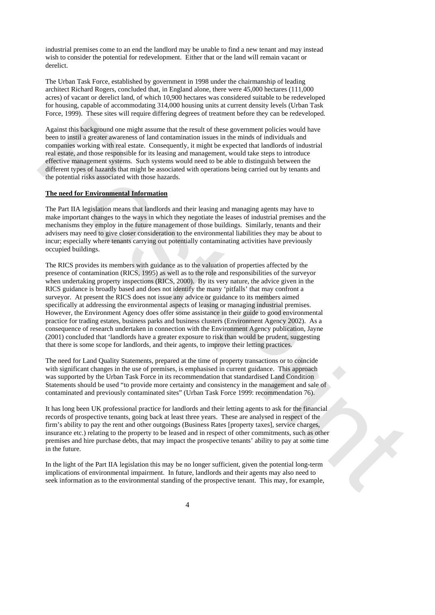industrial premises come to an end the landlord may be unable to find a new tenant and may instead wish to consider the potential for redevelopment. Either that or the land will remain vacant or derelict.

The Urban Task Force, established by government in 1998 under the chairmanship of leading architect Richard Rogers, concluded that, in England alone, there were 45,000 hectares (111,000 acres) of vacant or derelict land, of which 10,900 hectares was considered suitable to be redeveloped for housing, capable of accommodating 314,000 housing units at current density levels (Urban Task Force, 1999). These sites will require differing degrees of treatment before they can be redeveloped.

Against this background one might assume that the result of these government policies would have been to instil a greater awareness of land contamination issues in the minds of individuals and companies working with real estate. Consequently, it might be expected that landlords of industrial real estate, and those responsible for its leasing and management, would take steps to introduce effective management systems. Such systems would need to be able to distinguish between the different types of hazards that might be associated with operations being carried out by tenants and the potential risks associated with those hazards.

## **The need for Environmental Information**

The Part IIA legislation means that landlords and their leasing and managing agents may have to make important changes to the ways in which they negotiate the leases of industrial premises and the mechanisms they employ in the future management of those buildings. Similarly, tenants and their advisers may need to give closer consideration to the environmental liabilities they may be about to incur; especially where tenants carrying out potentially contaminating activities have previously occupied buildings.

The RICS provides its members with guidance as to the valuation of properties affected by the presence of contamination (RICS, 1995) as well as to the role and responsibilities of the surveyor when undertaking property inspections (RICS, 2000). By its very nature, the advice given in the RICS guidance is broadly based and does not identify the many 'pitfalls' that may confront a surveyor. At present the RICS does not issue any advice or guidance to its members aimed specifically at addressing the environmental aspects of leasing or managing industrial premises. However, the Environment Agency does offer some assistance in their guide to good environmental practice for trading estates, business parks and business clusters (Environment Agency 2002). As a consequence of research undertaken in connection with the Environment Agency publication, Jayne (2001) concluded that 'landlords have a greater exposure to risk than would be prudent, suggesting that there is some scope for landlords, and their agents, to improve their letting practices. Against this build-ground one might assume that the result of these government policies would have<br>here to indefine grow measure for the commentator issues in the misched radio could have<br>could satisfy and those expension

The need for Land Quality Statements, prepared at the time of property transactions or to coincide with significant changes in the use of premises, is emphasised in current guidance. This approach was supported by the Urban Task Force in its recommendation that standardised Land Condition Statements should be used "to provide more certainty and consistency in the management and sale of contaminated and previously contaminated sites" (Urban Task Force 1999: recommendation 76).

It has long been UK professional practice for landlords and their letting agents to ask for the financial records of prospective tenants, going back at least three years. These are analysed in respect of the firm's ability to pay the rent and other outgoings (Business Rates [property taxes], service charges, insurance etc.) relating to the property to be leased and in respect of other commitments, such as other premises and hire purchase debts, that may impact the prospective tenants' ability to pay at some time in the future.

In the light of the Part IIA legislation this may be no longer sufficient, given the potential long-term implications of environmental impairment. In future, landlords and their agents may also need to seek information as to the environmental standing of the prospective tenant. This may, for example,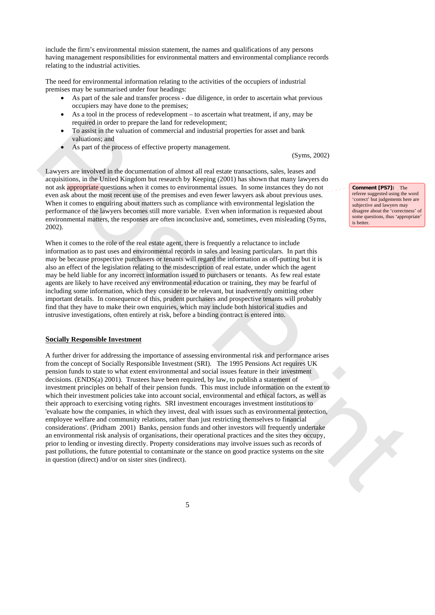include the firm's environmental mission statement, the names and qualifications of any persons having management responsibilities for environmental matters and environmental compliance records relating to the industrial activities.

The need for environmental information relating to the activities of the occupiers of industrial premises may be summarised under four headings:

- As part of the sale and transfer process due diligence, in order to ascertain what previous occupiers may have done to the premises;
- As a tool in the process of redevelopment to ascertain what treatment, if any, may be required in order to prepare the land for redevelopment;
- To assist in the valuation of commercial and industrial properties for asset and bank valuations; and
- As part of the process of effective property management.

(Syms, 2002)

Lawyers are involved in the documentation of almost all real estate transactions, sales, leases and acquisitions, in the United Kingdom but research by Keeping (2001) has shown that many lawyers do not ask appropriate questions when it comes to environmental issues. In some instances they do not even ask about the most recent use of the premises and even fewer lawyers ask about previous uses. When it comes to enquiring about matters such as compliance with environmental legislation the performance of the lawyers becomes still more variable. Even when information is requested about environmental matters, the responses are often inconclusive and, sometimes, even misleading (Syms, 2002).

When it comes to the role of the real estate agent, there is frequently a reluctance to include information as to past uses and environmental records in sales and leasing particulars. In part this may be because prospective purchasers or tenants will regard the information as off-putting but it is also an effect of the legislation relating to the misdescription of real estate, under which the agent may be held liable for any incorrect information issued to purchasers or tenants. As few real estate agents are likely to have received any environmental education or training, they may be fearful of including some information, which they consider to be relevant, but inadvertently omitting other important details. In consequence of this, prudent purchasers and prospective tenants will probably find that they have to make their own enquiries, which may include both historical studies and intrusive investigations, often entirely at risk, before a binding contract is entered into.

## **Socially Responsible Investment**

A further driver for addressing the importance of assessing environmental risk and performance arises from the concept of Socially Responsible Investment (SRI). The 1995 Pensions Act requires UK pension funds to state to what extent environmental and social issues feature in their investment decisions. (ENDS(a) 2001). Trustees have been required, by law, to publish a statement of investment principles on behalf of their pension funds. This must include information on the extent to which their investment policies take into account social, environmental and ethical factors, as well as their approach to exercising voting rights. SRI investment encourages investment institutions to 'evaluate how the companies, in which they invest, deal with issues such as environmental protection, employee welfare and community relations, rather than just restricting themselves to financial considerations'. (Pridham 2001) Banks, pension funds and other investors will frequently undertake an environmental risk analysis of organisations, their operational practices and the sites they occupy, prior to lending or investing directly. Property considerations may involve issues such as records of past pollutions, the future potential to contaminate or the stance on good practice systems on the site in question (direct) and/or on sister sites (indirect). Frequencies and a construction of the land for redevelopment.<br>
To assist in the collustion of commental and industrial properties for asset and bank<br>
validation of the collustion of commentation of alternal system. As par

**Comment [PS7]:** The referee suggested using the word 'correct' but judgements here are subjective and lawyers may disagree about the 'correctness' of some questions, thus 'appropriate' is better.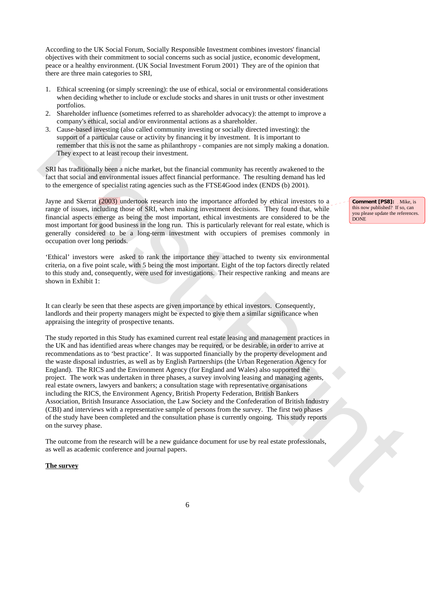According to the UK Social Forum, Socially Responsible Investment combines investors' financial objectives with their commitment to social concerns such as social justice, economic development, peace or a healthy environment. (UK Social Investment Forum 2001) They are of the opinion that there are three main categories to SRI,

- 1. Ethical screening (or simply screening): the use of ethical, social or environmental considerations when deciding whether to include or exclude stocks and shares in unit trusts or other investment portfolios.
- 2. Shareholder influence (sometimes referred to as shareholder advocacy): the attempt to improve a company's ethical, social and/or environmental actions as a shareholder.
- 3. Cause-based investing (also called community investing or socially directed investing): the support of a particular cause or activity by financing it by investment. It is important to remember that this is not the same as philanthropy - companies are not simply making a donation. They expect to at least recoup their investment.

SRI has traditionally been a niche market, but the financial community has recently awakened to the fact that social and environmental issues affect financial performance. The resulting demand has led to the emergence of specialist rating agencies such as the FTSE4Good index (ENDS (b) 2001).

Jayne and Skerrat (2003) undertook research into the importance afforded by ethical investors to a range of issues, including those of SRI, when making investment decisions. They found that, while financial aspects emerge as being the most important, ethical investments are considered to be the most important for good business in the long run. This is particularly relevant for real estate, which is generally considered to be a long-term investment with occupiers of premises commonly in occupation over long periods.

'Ethical' investors were asked to rank the importance they attached to twenty six environmental criteria, on a five point scale, with 5 being the most important. Eight of the top factors directly related to this study and, consequently, were used for investigations. Their respective ranking and means are shown in Exhibit 1:

It can clearly be seen that these aspects are given importance by ethical investors. Consequently, landlords and their property managers might be expected to give them a similar significance when appraising the integrity of prospective tenants.

The study reported in this Study has examined current real estate leasing and management practices in the UK and has identified areas where changes may be required, or be desirable, in order to arrive at recommendations as to 'best practice'. It was supported financially by the property development and the waste disposal industries, as well as by English Partnerships (the Urban Regeneration Agency for England). The RICS and the Environment Agency (for England and Wales) also supported the project. The work was undertaken in three phases, a survey involving leasing and managing agents, real estate owners, lawyers and bankers; a consultation stage with representative organisations including the RICS, the Environment Agency, British Property Federation, British Bankers Association, British Insurance Association, the Law Society and the Confederation of British Industry (CBI) and interviews with a representative sample of persons from the survey. The first two phases of the study have been completed and the consultation phase is currently ongoing. This study reports on the survey phase. Someony settled a local and/or contonneal at close as a shareholder.<br>
Someony shared have the summarity inversing or settled by freedom severally directed inversing) the<br>
support of particular cause or activity by frame t

The outcome from the research will be a new guidance document for use by real estate professionals, as well as academic conference and journal papers.

#### **The survey**

**Comment [PS8]:** Mike, is this now published? If so, can you please update the references. **DONE**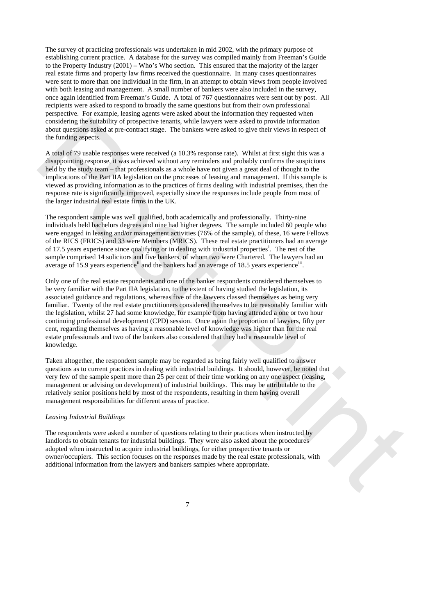The survey of practicing professionals was undertaken in mid 2002, with the primary purpose of establishing current practice. A database for the survey was compiled mainly from Freeman's Guide to the Property Industry (2001) – Who's Who section. This ensured that the majority of the larger real estate firms and property law firms received the questionnaire. In many cases questionnaires were sent to more than one individual in the firm, in an attempt to obtain views from people involved with both leasing and management. A small number of bankers were also included in the survey, once again identified from Freeman's Guide. A total of 767 questionnaires were sent out by post. All recipients were asked to respond to broadly the same questions but from their own professional perspective. For example, leasing agents were asked about the information they requested when considering the suitability of prospective tenants, while lawyers were asked to provide information about questions asked at pre-contract stage. The bankers were asked to give their views in respect of the funding aspects.

A total of 79 usable responses were received (a 10.3% response rate). Whilst at first sight this was a disappointing response, it was achieved without any reminders and probably confirms the suspicions held by the study team – that professionals as a whole have not given a great deal of thought to the implications of the Part IIA legislation on the processes of leasing and management. If this sample is viewed as providing information as to the practices of firms dealing with industrial premises, then the response rate is significantly improved, especially since the responses include people from most of the larger industrial real estate firms in the UK.

The respondent sample was well qualified, both academically and professionally. Thirty-nine individuals held bachelors degrees and nine had higher degrees. The sample included 60 people who were engaged in leasing and/or management activities (76% of the sample), of these, 16 were Fellows of the RICS (FRICS) and 33 were Members (MRICS). These real estate practitioners had an average of 17.5 years experience since qualifying or in dealing with industrial properties<sup>i</sup>. The rest of the sample comprised 14 solicitors and five bankers, of whom two were Chartered. The lawyers had an average of 15.9 years experience<sup>ii</sup> and the bankers had an average of 18.5 years experience<sup>iii</sup>.

Only one of the real estate respondents and one of the banker respondents considered themselves to be very familiar with the Part IIA legislation, to the extent of having studied the legislation, its associated guidance and regulations, whereas five of the lawyers classed themselves as being very familiar. Twenty of the real estate practitioners considered themselves to be reasonably familiar with the legislation, whilst 27 had some knowledge, for example from having attended a one or two hour continuing professional development (CPD) session. Once again the proportion of lawyers, fifty per cent, regarding themselves as having a reasonable level of knowledge was higher than for the real estate professionals and two of the bankers also considered that they had a reasonable level of knowledge. con[s](#page-17-1)iderant the interlality of prospective tensits, while lawyers were saked to provide information<br>short questions when the material energy correct that the interlality of the state of the interlality and<br>consider the int

Taken altogether, the respondent sample may be regarded as being fairly well qualified to answer questions as to current practices in dealing with industrial buildings. It should, however, be noted that very few of the sample spent more than 25 per cent of their time working on any one aspect (leasing, management or advising on development) of industrial buildings. This may be attributable to the relatively senior positions held by most of the respondents, resulting in them having overall management responsibilities for different areas of practice.

#### *Leasing Industrial Buildings*

The respondents were asked a number of questions relating to their practices when instructed by landlords to obtain tenants for industrial buildings. They were also asked about the procedures adopted when instructed to acquire industrial buildings, for either prospective tenants or owner/occupiers. This section focuses on the responses made by the real estate professionals, with additional information from the lawyers and bankers samples where appropriate.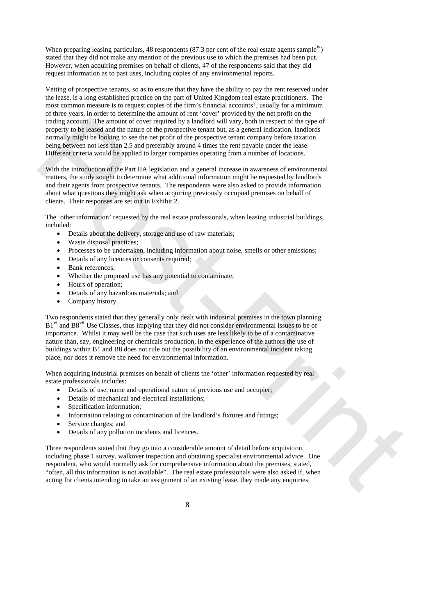When preparing leasing particulars,  $48$  respondents (87.3 per cent of the real estate agents sample<sup>[iv](#page-17-1)</sup>) stated that they did not make any mention of the previous use to which the premises had been put. However, when acquiring premises on behalf of clients, 47 of the respondents said that they did request information as to past uses, including copies of any environmental reports.

Vetting of prospective tenants, so as to ensure that they have the ability to pay the rent reserved under the lease, is a long established practice on the part of United Kingdom real estate practitioners. The most common measure is to request copies of the firm's financial accounts<sup>[v](#page-17-1)</sup>, usually for a minimum of three years, in order to determine the amount of rent 'cover' provided by the net profit on the trading account. The amount of cover required by a landlord will vary, both in respect of the type of property to be leased and the nature of the prospective tenant but, as a general indication, landlords normally might be looking to see the net profit of the prospective tenant company before taxation being between not less than 2.5 and preferably around 4 times the rent payable under the lease. Different criteria would be applied to larger companies operating from a number of locations.

With the introduction of the Part IIA legislation and a general increase in awareness of environmental matters, the study sought to determine what additional information might be requested by landlords and their agents from prospective tenants. The respondents were also asked to provide information about what questions they might ask when acquiring previously occupied premises on behalf of clients. Their responses are set out in Exhibit 2.

The 'other information' requested by the real estate professionals, when leasing industrial buildings, included:

- Details about the delivery, storage and use of raw materials;
- Waste disposal practices:
- Processes to be undertaken, including information about noise, smells or other emissions;
- Details of any licences or consents required;
- Bank references;
- Whether the proposed use has any potential to contaminate;
- Hours of operation;
- Details of any hazardous materials; and
- Company history.

Two respondents stated that they generally only dealt with industrial premises in the town planning B1<sup>vi</sup> and B8<sup>vii</sup> Use Classes, thus implying that they did not consider environmental issues to be of importance. Whilst it may well be the case that such uses are less likely to be of a contaminative nature than, say, engineering or chemicals production, in the experience of the authors the use of buildings within B1 and B8 does not rule out the possibility of an environmental incident taking place, nor does it remove the need for environmental information. studies abouting The annotation of solven required by a hadded will vary. both in respect to the type of the sympatric state the means the mean point of the sympatric state. The sympatric state is a sympatric state the sy

When acquiring industrial premises on behalf of clients the 'other' information requested by real estate professionals includes:

- Details of use, name and operational nature of previous use and occupier;
- Details of mechanical and electrical installations;
- Specification information;
- Information relating to contamination of the landlord's fixtures and fittings;
- Service charges; and
- Details of any pollution incidents and licences.

Three respondents stated that they go into a considerable amount of detail before acquisition, including phase 1 survey, walkover inspection and obtaining specialist environmental advice. One respondent, who would normally ask for comprehensive information about the premises, stated, "often, all this information is not available". The real estate professionals were also asked if, when acting for clients intending to take an assignment of an existing lease, they made any enquiries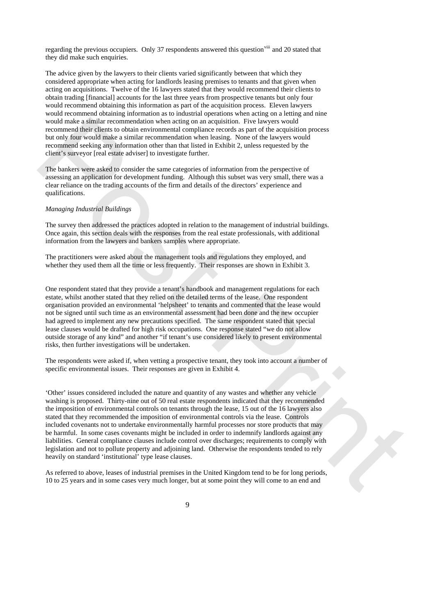regarding the previous occupiers. Only 37 respondents answered this question<sup>[viii](#page-17-1)</sup> and 20 stated that they did make such enquiries.

The advice given by the lawyers to their clients varied significantly between that which they considered appropriate when acting for landlords leasing premises to tenants and that given when acting on acquisitions. Twelve of the 16 lawyers stated that they would recommend their clients to obtain trading [financial] accounts for the last three years from prospective tenants but only four would recommend obtaining this information as part of the acquisition process. Eleven lawyers would recommend obtaining information as to industrial operations when acting on a letting and nine would make a similar recommendation when acting on an acquisition. Five lawyers would recommend their clients to obtain environmental compliance records as part of the acquisition process but only four would make a similar recommendation when leasing. None of the lawyers would recommend seeking any information other than that listed in Exhibit 2, unless requested by the client's surveyor [real estate adviser] to investigate further.

The bankers were asked to consider the same categories of information from the perspective of assessing an application for development funding. Although this subset was very small, there was a clear reliance on the trading accounts of the firm and details of the directors' experience and qualifications.

### *Managing Industrial Buildings*

The survey then addressed the practices adopted in relation to the management of industrial buildings. Once again, this section deals with the responses from the real estate professionals, with additional information from the lawyers and bankers samples where appropriate.

The practitioners were asked about the management tools and regulations they employed, and whether they used them all the time or less frequently. Their responses are shown in Exhibit 3.

One respondent stated that they provide a tenant's handbook and management regulations for each estate, whilst another stated that they relied on the detailed terms of the lease. One respondent organisation provided an environmental 'helpsheet' to tenants and commented that the lease would not be signed until such time as an environmental assessment had been done and the new occupier had agreed to implement any new precautions specified. The same respondent stated that special lease clauses would be drafted for high risk occupations. One response stated "we do not allow outside storage of any kind" and another "if tenant's use considered likely to present environmental risks, then further investigations will be undertaken.

The respondents were asked if, when vetting a prospective tenant, they took into account a number of specific environmental issues. Their responses are given in Exhibit 4.

'Other' issues considered included the nature and quantity of any wastes and whether any vehicle washing is proposed. Thirty-nine out of 50 real estate respondents indicated that they recommended the imposition of environmental controls on tenants through the lease, 15 out of the 16 lawyers also stated that they recommended the imposition of environmental controls via the lease. Controls included covenants not to undertake environmentally harmful processes nor store products that may be harmful. In some cases covenants might be included in order to indemnify landlords against any liabilities. General compliance clauses include control over discharges; requirements to comply with legislation and not to pollute property and adjoining land. Otherwise the respondents tended to rely heavily on standard 'institutional' type lease clauses. would ande a sinular occurrence<br>anded the revision and the station which are considered. For largely<br>as recommend their client continues the constraints when the positive recombined process<br>but only for words make a simul

As referred to above, leases of industrial premises in the United Kingdom tend to be for long periods, 10 to 25 years and in some cases very much longer, but at some point they will come to an end and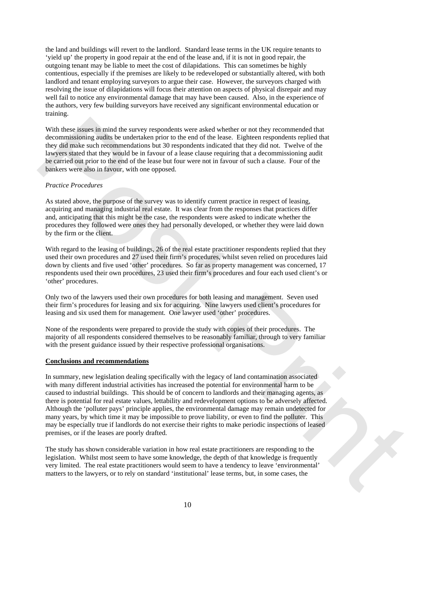the land and buildings will revert to the landlord. Standard lease terms in the UK require tenants to 'yield up' the property in good repair at the end of the lease and, if it is not in good repair, the outgoing tenant may be liable to meet the cost of dilapidations. This can sometimes be highly contentious, especially if the premises are likely to be redeveloped or substantially altered, with both landlord and tenant employing surveyors to argue their case. However, the surveyors charged with resolving the issue of dilapidations will focus their attention on aspects of physical disrepair and may well fail to notice any environmental damage that may have been caused. Also, in the experience of the authors, very few building surveyors have received any significant environmental education or training.

With these issues in mind the survey respondents were asked whether or not they recommended that decommissioning audits be undertaken prior to the end of the lease. Eighteen respondents replied that they did make such recommendations but 30 respondents indicated that they did not. Twelve of the lawyers stated that they would be in favour of a lease clause requiring that a decommissioning audit be carried out prior to the end of the lease but four were not in favour of such a clause. Four of the bankers were also in favour, with one opposed.

#### *Practice Procedures*

As stated above, the purpose of the survey was to identify current practice in respect of leasing, acquiring and managing industrial real estate. It was clear from the responses that practices differ and, anticipating that this might be the case, the respondents were asked to indicate whether the procedures they followed were ones they had personally developed, or whether they were laid down by the firm or the client.

With regard to the leasing of buildings, 26 of the real estate practitioner respondents replied that they used their own procedures and 27 used their firm's procedures, whilst seven relied on procedures laid down by clients and five used 'other' procedures. So far as property management was concerned, 17 respondents used their own procedures, 23 used their firm's procedures and four each used client's or 'other' procedures.

Only two of the lawyers used their own procedures for both leasing and management. Seven used their firm's procedures for leasing and six for acquiring. Nine lawyers used client's procedures for leasing and six used them for management. One lawyer used 'other' procedures.

None of the respondents were prepared to provide the study with copies of their procedures. The majority of all respondents considered themselves to be reasonably familiar, through to very familiar with the present guidance issued by their respective professional organisations.

#### **Conclusions and recommendations**

In summary, new legislation dealing specifically with the legacy of land contamination associated with many different industrial activities has increased the potential for environmental harm to be caused to industrial buildings. This should be of concern to landlords and their managing agents, as there is potential for real estate values, lettability and redevelopment options to be adversely affected. Although the 'polluter pays' principle applies, the environmental damage may remain undetected for many years, by which time it may be impossible to prove liability, or even to find the polluter. This may be especially true if landlords do not exercise their rights to make periodic inspections of leased premises, or if the leases are poorly drafted. With these issues in mind the survey respondents were asked whereber or not they recommended that<br>decreases also than the nelativistic prior to the end of the lense in given respondents. replied that<br>decreases also than t

The study has shown considerable variation in how real estate practitioners are responding to the legislation. Whilst most seem to have some knowledge, the depth of that knowledge is frequently very limited. The real estate practitioners would seem to have a tendency to leave 'environmental' matters to the lawyers, or to rely on standard 'institutional' lease terms, but, in some cases, the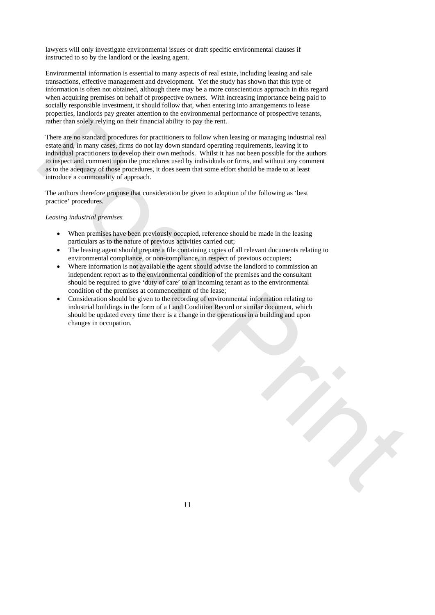lawyers will only investigate environmental issues or draft specific environmental clauses if instructed to so by the landlord or the leasing agent.

Environmental information is essential to many aspects of real estate, including leasing and sale transactions, effective management and development. Yet the study has shown that this type of information is often not obtained, although there may be a more conscientious approach in this regard when acquiring premises on behalf of prospective owners. With increasing importance being paid to socially responsible investment, it should follow that, when entering into arrangements to lease properties, landlords pay greater attention to the environmental performance of prospective tenants, rather than solely relying on their financial ability to pay the rent.

There are no standard procedures for practitioners to follow when leasing or managing industrial real estate and, in many cases, firms do not lay down standard operating requirements, leaving it to individual practitioners to develop their own methods. Whilst it has not been possible for the authors to inspect and comment upon the procedures used by individuals or firms, and without any comment as to the adequacy of those procedures, it does seem that some effort should be made to at least introduce a commonality of approach. icalis that solely gybrid go their framedal ability to pay the result.<br>There are noticed provides the practice form includes which is a matrix of the same of the state of the state of the state of the state of the state o

The authors therefore propose that consideration be given to adoption of the following as 'best practice' procedures.

*Leasing industrial premises* 

- When premises have been previously occupied, reference should be made in the leasing particulars as to the nature of previous activities carried out;
- The leasing agent should prepare a file containing copies of all relevant documents relating to environmental compliance, or non-compliance, in respect of previous occupiers;
- Where information is not available the agent should advise the landlord to commission an independent report as to the environmental condition of the premises and the consultant should be required to give 'duty of care' to an incoming tenant as to the environmental condition of the premises at commencement of the lease;
- Consideration should be given to the recording of environmental information relating to industrial buildings in the form of a Land Condition Record or similar document, which should be updated every time there is a change in the operations in a building and upon changes in occupation.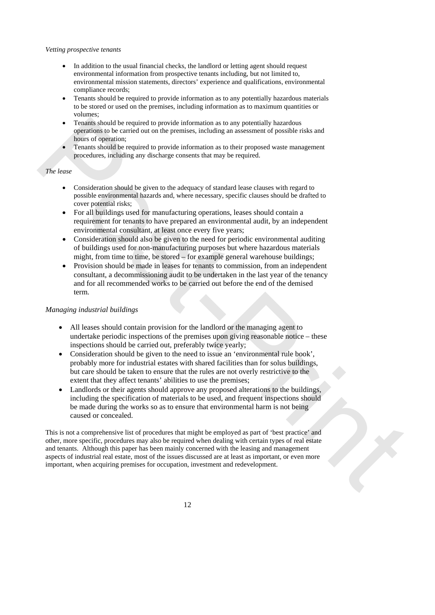#### *Vetting prospective tenants*

- In addition to the usual financial checks, the landlord or letting agent should request environmental information from prospective tenants including, but not limited to, environmental mission statements, directors' experience and qualifications, environmental compliance records;
- Tenants should be required to provide information as to any potentially hazardous materials to be stored or used on the premises, including information as to maximum quantities or volumes;
- Tenants should be required to provide information as to any potentially hazardous operations to be carried out on the premises, including an assessment of possible risks and hours of operation;
- Tenants should be required to provide information as to their proposed waste management procedures, including any discharge consents that may be required.

## *The lease*

- Consideration should be given to the adequacy of standard lease clauses with regard to possible environmental hazards and, where necessary, specific clauses should be drafted to cover potential risks;
- For all buildings used for manufacturing operations, leases should contain a requirement for tenants to have prepared an environmental audit, by an independent environmental consultant, at least once every five years;
- Consideration should also be given to the need for periodic environmental auditing of buildings used for non-manufacturing purposes but where hazardous materials might, from time to time, be stored – for example general warehouse buildings;
- Provision should be made in leases for tenants to commission, from an independent consultant, a decommissioning audit to be undertaken in the last year of the tenancy and for all recommended works to be carried out before the end of the demised term.

## *Managing industrial buildings*

- All leases should contain provision for the landlord or the managing agent to undertake periodic inspections of the premises upon giving reasonable notice – these inspections should be carried out, preferably twice yearly;
- Consideration should be given to the need to issue an 'environmental rule book', probably more for industrial estates with shared facilities than for solus buildings, but care should be taken to ensure that the rules are not overly restrictive to the extent that they affect tenants' abilities to use the premises;
- Landlords or their agents should approve any proposed alterations to the buildings, including the specification of materials to be used, and frequent inspections should be made during the works so as to ensure that environmental harm is not being caused or concealed.

This is not a comprehensive list of procedures that might be employed as part of 'best practice' and other, more specific, procedures may also be required when dealing with certain types of real estate and tenants. Although this paper has been mainly concerned with the leasing and management aspects of industrial real estate, most of the issues discussed are at least as important, or even more important, when acquiring premises for occupation, investment and redevelopment. • Tradition should be required to provide information as to any posterline) hazardoss of the same of provide relaxation of the same of provide relaxation of the same of provide relaxation and  $\vec{r}$  Channel should be req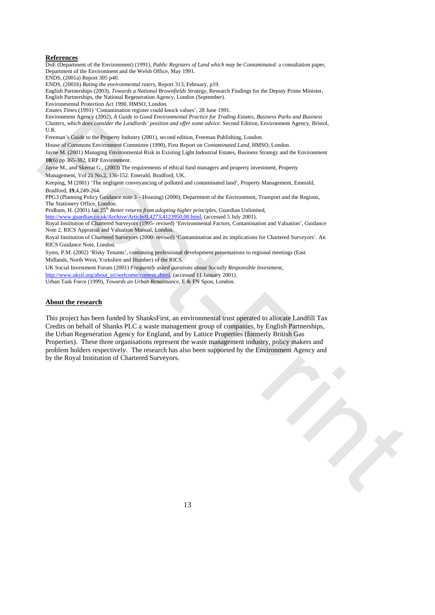#### **References**

DoE (Department of the Environment) (1991), *Public Registers of Land which may be Contaminated*: a consultation paper, Department of the Environment and the Welsh Office, May 1991. ENDS, (2001a) Report 305 p40. ENDS, (2001b) *Rating the environmental raters,* Report 313, February, p19. English Partnerships (2003), *Towards a National Brownfields Strategy*, Research Findings for the Deputy Prime Minister, English Partnerships, the National Regeneration Agency, London (September). Environmental Protection Act 1990, HMSO, London. *Estates Times* (1991) 'Contamination register could knock values', 28 June 1991. Environment Agency (2002), *A Guide to Good Environmental Practice for Trading Estates, Business Parks and Business Clusters, which does consider the Landlords' position and offer some advice*. Second Edition, Environment Agency, Bristol, U.K. Freeman's Guide to the Property Industry (2001), second edition, Freeman Publishing, London. House of Commons Environment Committee (1990), First Report on *Contaminated Land*, HMSO, London. Jayne M. (2001) Managing Environmental Risk in Existing Light Industrial Estates, Business Strategy and the Environment **10**(6) pp 365-382, ERP Environment. Jayne M., and Skerrat G., (2003) The requirements of ethical fund managers and property investment, Property Management, Vol 21 No.2, 136-152. Emerald, Bradford, UK. Keeping, M (2001) 'The negligent conveyancing of polluted and contaminated land', Property Management, Emerald, Bradford, **19**,4,249-264. PPG3 (Planning Policy Guidance note 3 – Housing) (2000), Department of the Environment, Transport and the Regions, The Stationery Office, London. Pridham, H. (2001) Jan 25<sup>th</sup> *Better returns from adopting higher principles*, Guardian Unlimited, http://www.guardian.co.uk/Archive/Article/0,4273,4123950,00.html, (accessed 5 July 2001). Royal Institution of Chartered Surveyors (1995- revised) 'Environmental Factors, Contamination and Valuation', Guidance Note 2, RICS Appraisal and Valuation Manual, London. Royal Institution of Chartered Surveyors (2000- revised) 'Contamination and its implications for Chartered Surveyors'. An RICS Guidance Note, London. Syms, P.M. (2002) 'Risky Tenants', continuing professional development presentations to regional meetings (East Midlands, North West, Yorkshire and Humber) of the RICS. UK Social Investment Forum (2001) *Frequently asked questions about Socially Responsible Investment,* http://www.uksif.org/about\_sri/welcome/content.shtml, (accessed 11 January 2001). Cancel and American the l[o](http://www.guardian.co.uk/Archive/Article/0,4273,4123950,00.html)cation is protonomic effective and the [st](http://www.uksif.org/about_sri/welcome/content.shtml)ate of the state of the state of the state of the state of the state of the state of the state of the state of the state of the state of the state of the

Urban Task Force (1999), *Towards an Urban Renaissance*, E & FN Spon, London.

### **About the research**

This project has been funded by ShanksFirst, an environmental trust operated to allocate Landfill Tax Credits on behalf of Shanks PLC a waste management group of companies, by English Partnerships, the Urban Regeneration Agency for England, and by Lattice Properties (formerly British Gas Properties). These three organisations represent the waste management industry, policy makers and problem holders respectively. The research has also been supported by the Environment Agency and by the Royal Institution of Chartered Surveyors.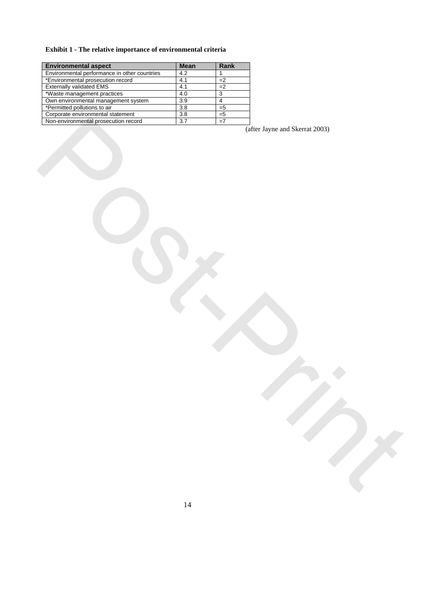# **Exhibit 1 - The relative importance of environmental criteria**

| <b>Environmental aspect</b>                  | <b>Mean</b> | Rank           |                                |
|----------------------------------------------|-------------|----------------|--------------------------------|
| Environmental performance in other countries | 4.2         | $\mathbf{1}$   |                                |
| *Environmental prosecution record            | 4.1         | $=2$           |                                |
| <b>Externally validated EMS</b>              | 4.1         | $=2$           |                                |
| *Waste management practices                  | 4.0         | $\overline{3}$ |                                |
| Own environmental management system          | 3.9         | 4              |                                |
| *Permitted pollutions to air                 | 3.8         | $=5$           |                                |
| Corporate environmental statement            | 3.8         | $=5$           |                                |
| Non-environmental prosecution record         | 3.7         | $=7$           |                                |
|                                              |             |                | (after Jayne and Skerrat 2003) |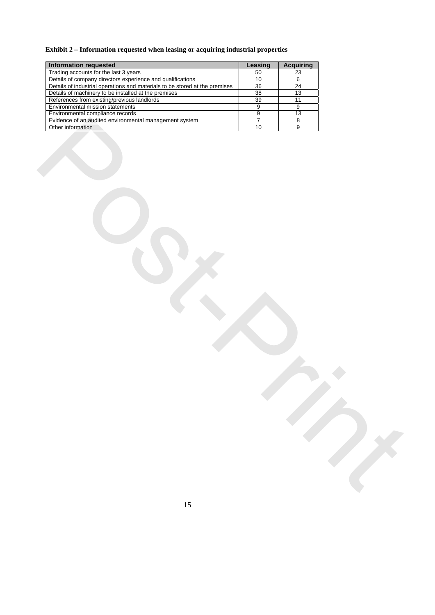# **Exhibit 2 – Information requested when leasing or acquiring industrial properties**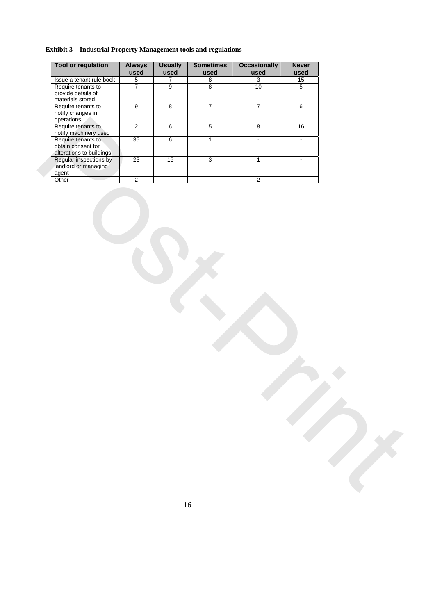# **Exhibit 3 – Industrial Property Management tools and regulations**

| <b>Tool or regulation</b>                                            | <b>Always</b>  | <b>Usually</b>                   | <b>Sometimes</b> | <b>Occasionally</b> | <b>Never</b>    |
|----------------------------------------------------------------------|----------------|----------------------------------|------------------|---------------------|-----------------|
|                                                                      | used           | used                             | used             | used                | used            |
| Issue a tenant rule book                                             | $\frac{5}{7}$  | $\overline{7}$<br>$\overline{9}$ | $\frac{8}{8}$    | $\mathbf{3}$<br>10  | $\frac{15}{5}$  |
| Require tenants to<br>provide details of<br>materials stored         |                |                                  |                  |                     |                 |
| Require tenants to<br>notify changes in                              | $\overline{9}$ | $\bf 8$                          | $\overline{7}$   | $\overline{7}$      | $6\overline{6}$ |
| operations                                                           |                |                                  |                  |                     |                 |
| Require tenants to<br>notify machinery used                          | $\overline{2}$ | $\sqrt{6}$                       | $\overline{5}$   | $\bf 8$             | 16              |
| Require tenants to<br>obtain consent for<br>alterations to buildings | 35             | $6\overline{6}$                  | $\overline{1}$   | $\omega$            | $\blacksquare$  |
| Regular inspections by<br>landlord or managing                       | 23             | 15                               | $\overline{3}$   | $\overline{1}$      | $\blacksquare$  |
| agent<br>Other                                                       | $\overline{2}$ | $\blacksquare$                   | $\blacksquare$   | $\overline{2}$      | $\blacksquare$  |
|                                                                      |                |                                  |                  |                     |                 |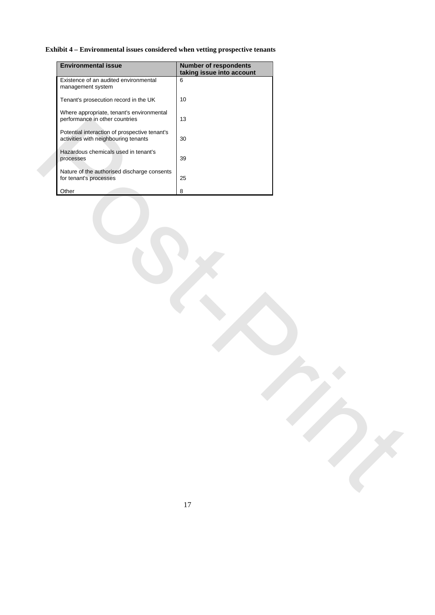**Exhibit 4 – Environmental issues considered when vetting prospective tenants** 

| <b>Environmental issue</b>                                                            | <b>Number of respondents</b><br>taking issue into account |  |
|---------------------------------------------------------------------------------------|-----------------------------------------------------------|--|
| Existence of an audited environmental<br>management system                            | 6                                                         |  |
| Tenant's prosecution record in the UK                                                 | $10$                                                      |  |
| Where appropriate, tenant's environmental<br>performance in other countries           | $13$                                                      |  |
| Potential interaction of prospective tenant's<br>activities with neighbouring tenants | $30\,$                                                    |  |
| Hazardous chemicals used in tenant's<br>processes                                     | 39                                                        |  |
| Nature of the authorised discharge consents<br>for tenant's processes                 | 25                                                        |  |
| Other                                                                                 | $\bf 8$                                                   |  |
|                                                                                       |                                                           |  |